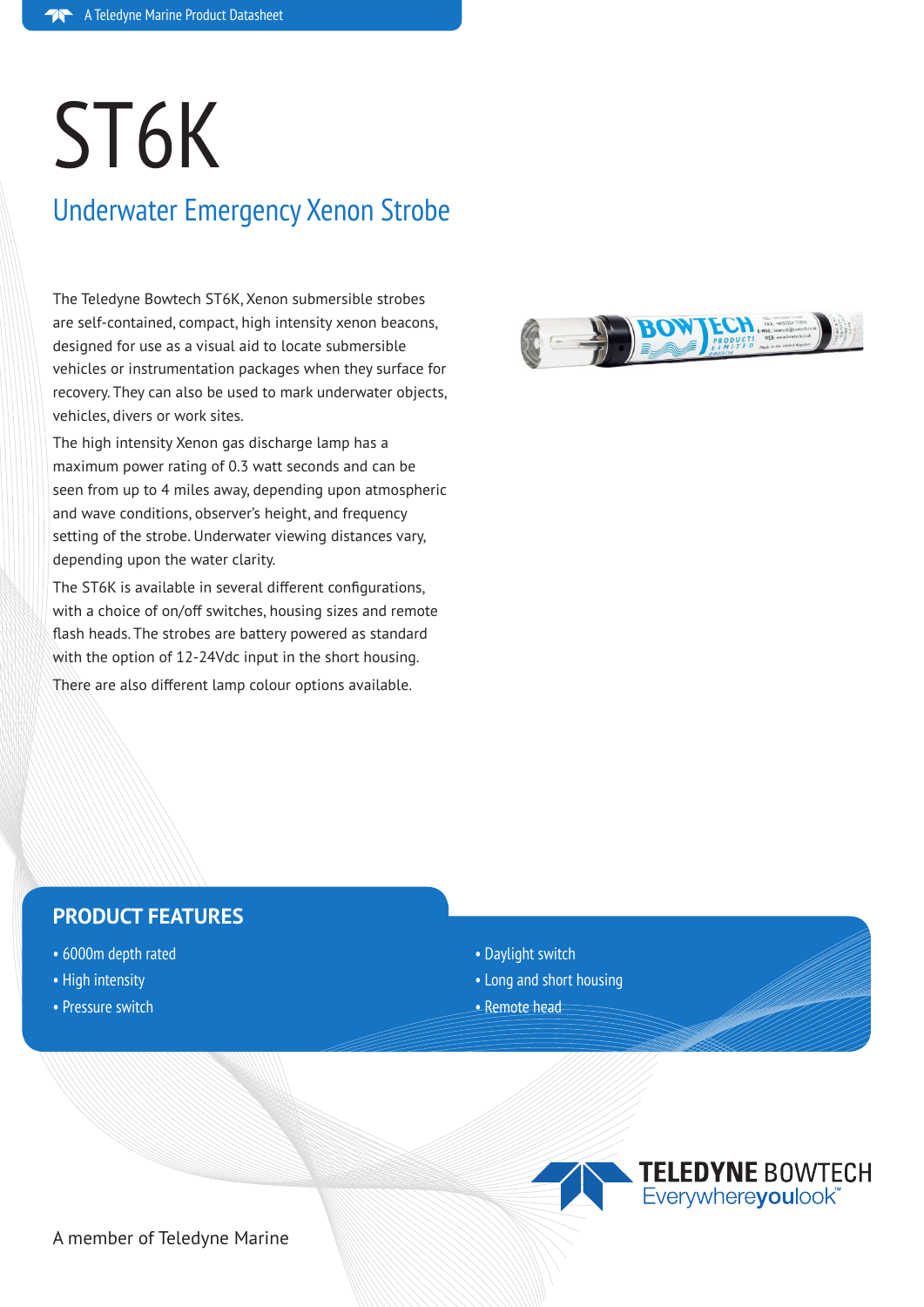# ST6K

# Underwater Emergency Xenon Strobe

The Teledyne Bowtech ST6K, Xenon submersible strobes are self-contained, compact, high intensity xenon beacons, designed for use as a visual aid to locate submersible vehicles or instrumentation packages when they surface for recovery. They can also be used to mark underwater objects, vehicles, divers or work sites.

The high intensity Xenon gas discharge lamp has a maximum power rating of 0.3 watt seconds and can be seen from up to 4 miles away, depending upon atmospheric and wave conditions, observer's height, and frequency setting of the strobe. Underwater viewing distances vary, depending upon the water clarity.

The ST6K is available in several different configurations, with a choice of on/off switches, housing sizes and remote flash heads. The strobes are battery powered as standard with the option of 12-24Vdc input in the short housing.

There are also different lamp colour options available.



## **PRODUCT FEATURES**

- 6000m depth rated
- High intensity
- Pressure switch
- Daylight switch
- Long and short housing
- Remote head



A member of Teledyne Marine